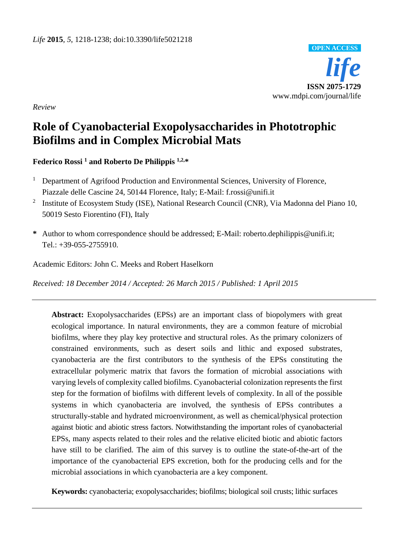

*Review*

# **Role of Cyanobacterial Exopolysaccharides in Phototrophic Biofilms and in Complex Microbial Mats**

Federico Rossi<sup>1</sup> and Roberto De Philippis <sup>1,2,\*</sup>

- 1 Department of Agrifood Production and Environmental Sciences, University of Florence, Piazzale delle Cascine 24, 50144 Florence, Italy; E-Mail: f.rossi@unifi.it
- <sup>2</sup> Institute of Ecosystem Study (ISE), National Research Council (CNR), Via Madonna del Piano 10, 50019 Sesto Fiorentino (FI), Italy
- **\*** Author to whom correspondence should be addressed; E-Mail: roberto.dephilippis@unifi.it; Tel.:  $+39-055-2755910$ .

Academic Editors: John C. Meeks and Robert Haselkorn

*Received: 18 December 2014 / Accepted: 26 March 2015 / Published: 1 April 2015* 

**Abstract:** Exopolysaccharides (EPSs) are an important class of biopolymers with great ecological importance. In natural environments, they are a common feature of microbial biofilms, where they play key protective and structural roles. As the primary colonizers of constrained environments, such as desert soils and lithic and exposed substrates, cyanobacteria are the first contributors to the synthesis of the EPSs constituting the extracellular polymeric matrix that favors the formation of microbial associations with varying levels of complexity called biofilms. Cyanobacterial colonization represents the first step for the formation of biofilms with different levels of complexity. In all of the possible systems in which cyanobacteria are involved, the synthesis of EPSs contributes a structurally-stable and hydrated microenvironment, as well as chemical/physical protection against biotic and abiotic stress factors. Notwithstanding the important roles of cyanobacterial EPSs, many aspects related to their roles and the relative elicited biotic and abiotic factors have still to be clarified. The aim of this survey is to outline the state-of-the-art of the importance of the cyanobacterial EPS excretion, both for the producing cells and for the microbial associations in which cyanobacteria are a key component.

**Keywords:** cyanobacteria; exopolysaccharides; biofilms; biological soil crusts; lithic surfaces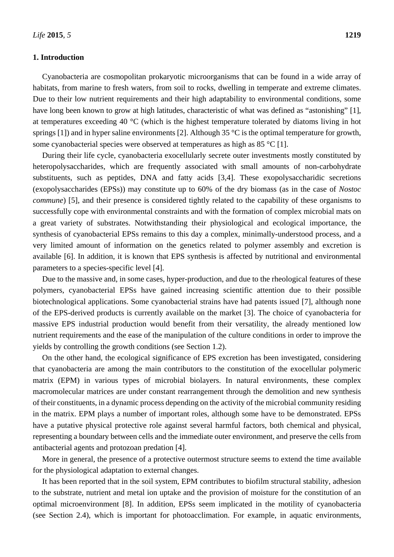# **1. Introduction**

Cyanobacteria are cosmopolitan prokaryotic microorganisms that can be found in a wide array of habitats, from marine to fresh waters, from soil to rocks, dwelling in temperate and extreme climates. Due to their low nutrient requirements and their high adaptability to environmental conditions, some have long been known to grow at high latitudes, characteristic of what was defined as "astonishing" [1], at temperatures exceeding 40 °C (which is the highest temperature tolerated by diatoms living in hot springs [1]) and in hyper saline environments [2]. Although  $35^{\circ}$ C is the optimal temperature for growth, some cyanobacterial species were observed at temperatures as high as 85 °C [1].

During their life cycle, cyanobacteria exocellularly secrete outer investments mostly constituted by heteropolysaccharides, which are frequently associated with small amounts of non-carbohydrate substituents, such as peptides, DNA and fatty acids [3,4]. These exopolysaccharidic secretions (exopolysaccharides (EPSs)) may constitute up to 60% of the dry biomass (as in the case of *Nostoc commune*) [5], and their presence is considered tightly related to the capability of these organisms to successfully cope with environmental constraints and with the formation of complex microbial mats on a great variety of substrates. Notwithstanding their physiological and ecological importance, the synthesis of cyanobacterial EPSs remains to this day a complex, minimally-understood process, and a very limited amount of information on the genetics related to polymer assembly and excretion is available [6]. In addition, it is known that EPS synthesis is affected by nutritional and environmental parameters to a species-specific level [4].

Due to the massive and, in some cases, hyper-production, and due to the rheological features of these polymers, cyanobacterial EPSs have gained increasing scientific attention due to their possible biotechnological applications. Some cyanobacterial strains have had patents issued [7], although none of the EPS-derived products is currently available on the market [3]. The choice of cyanobacteria for massive EPS industrial production would benefit from their versatility, the already mentioned low nutrient requirements and the ease of the manipulation of the culture conditions in order to improve the yields by controlling the growth conditions (see Section 1.2).

On the other hand, the ecological significance of EPS excretion has been investigated, considering that cyanobacteria are among the main contributors to the constitution of the exocellular polymeric matrix (EPM) in various types of microbial biolayers. In natural environments, these complex macromolecular matrices are under constant rearrangement through the demolition and new synthesis of their constituents, in a dynamic process depending on the activity of the microbial community residing in the matrix. EPM plays a number of important roles, although some have to be demonstrated. EPSs have a putative physical protective role against several harmful factors, both chemical and physical, representing a boundary between cells and the immediate outer environment, and preserve the cells from antibacterial agents and protozoan predation [4].

More in general, the presence of a protective outermost structure seems to extend the time available for the physiological adaptation to external changes.

It has been reported that in the soil system, EPM contributes to biofilm structural stability, adhesion to the substrate, nutrient and metal ion uptake and the provision of moisture for the constitution of an optimal microenvironment [8]. In addition, EPSs seem implicated in the motility of cyanobacteria (see Section 2.4), which is important for photoacclimation. For example, in aquatic environments,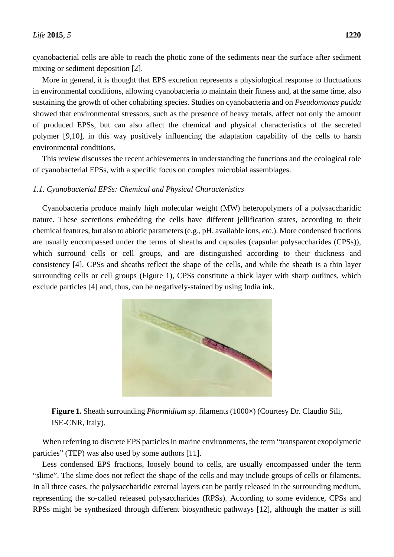cyanobacterial cells are able to reach the photic zone of the sediments near the surface after sediment mixing or sediment deposition [2].

More in general, it is thought that EPS excretion represents a physiological response to fluctuations in environmental conditions, allowing cyanobacteria to maintain their fitness and, at the same time, also sustaining the growth of other cohabiting species. Studies on cyanobacteria and on *Pseudomonas putida* showed that environmental stressors, such as the presence of heavy metals, affect not only the amount of produced EPSs, but can also affect the chemical and physical characteristics of the secreted polymer [9,10], in this way positively influencing the adaptation capability of the cells to harsh environmental conditions.

This review discusses the recent achievements in understanding the functions and the ecological role of cyanobacterial EPSs, with a specific focus on complex microbial assemblages.

## *1.1. Cyanobacterial EPSs: Chemical and Physical Characteristics*

Cyanobacteria produce mainly high molecular weight (MW) heteropolymers of a polysaccharidic nature. These secretions embedding the cells have different jellification states, according to their chemical features, but also to abiotic parameters (e.g., pH, available ions, *etc.*). More condensed fractions are usually encompassed under the terms of sheaths and capsules (capsular polysaccharides (CPSs)), which surround cells or cell groups, and are distinguished according to their thickness and consistency [4]. CPSs and sheaths reflect the shape of the cells, and while the sheath is a thin layer surrounding cells or cell groups (Figure 1), CPSs constitute a thick layer with sharp outlines, which exclude particles [4] and, thus, can be negatively-stained by using India ink.



**Figure 1.** Sheath surrounding *Phormidium* sp. filaments (1000×) (Courtesy Dr. Claudio Sili, ISE-CNR, Italy).

When referring to discrete EPS particles in marine environments, the term "transparent exopolymeric particles" (TEP) was also used by some authors [11].

Less condensed EPS fractions, loosely bound to cells, are usually encompassed under the term "slime". The slime does not reflect the shape of the cells and may include groups of cells or filaments. In all three cases, the polysaccharidic external layers can be partly released in the surrounding medium, representing the so-called released polysaccharides (RPSs). According to some evidence, CPSs and RPSs might be synthesized through different biosynthetic pathways [12], although the matter is still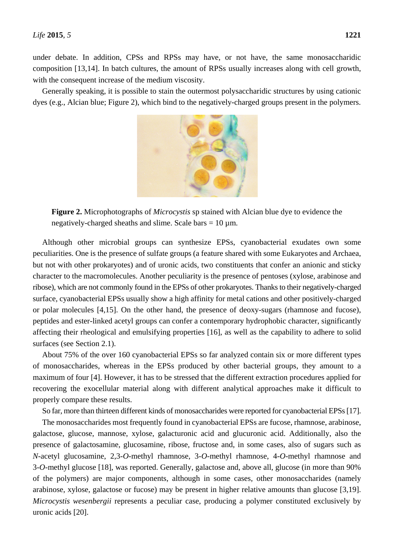under debate. In addition, CPSs and RPSs may have, or not have, the same monosaccharidic composition [13,14]. In batch cultures, the amount of RPSs usually increases along with cell growth, with the consequent increase of the medium viscosity.

Generally speaking, it is possible to stain the outermost polysaccharidic structures by using cationic dyes (e.g., Alcian blue; Figure 2), which bind to the negatively-charged groups present in the polymers.



**Figure 2.** Microphotographs of *Microcystis* sp stained with Alcian blue dye to evidence the negatively-charged sheaths and slime. Scale bars  $= 10 \mu m$ .

Although other microbial groups can synthesize EPSs, cyanobacterial exudates own some peculiarities. One is the presence of sulfate groups (a feature shared with some Eukaryotes and Archaea, but not with other prokaryotes) and of uronic acids, two constituents that confer an anionic and sticky character to the macromolecules. Another peculiarity is the presence of pentoses (xylose, arabinose and ribose), which are not commonly found in the EPSs of other prokaryotes. Thanks to their negatively-charged surface, cyanobacterial EPSs usually show a high affinity for metal cations and other positively-charged or polar molecules [4,15]. On the other hand, the presence of deoxy-sugars (rhamnose and fucose), peptides and ester-linked acetyl groups can confer a contemporary hydrophobic character, significantly affecting their rheological and emulsifying properties [16], as well as the capability to adhere to solid surfaces (see Section 2.1).

About 75% of the over 160 cyanobacterial EPSs so far analyzed contain six or more different types of monosaccharides, whereas in the EPSs produced by other bacterial groups, they amount to a maximum of four [4]. However, it has to be stressed that the different extraction procedures applied for recovering the exocellular material along with different analytical approaches make it difficult to properly compare these results.

So far, more than thirteen different kinds of monosaccharides were reported for cyanobacterial EPSs [17].

The monosaccharides most frequently found in cyanobacterial EPSs are fucose, rhamnose, arabinose, galactose, glucose, mannose, xylose, galacturonic acid and glucuronic acid. Additionally, also the presence of galactosamine, glucosamine, ribose, fructose and, in some cases, also of sugars such as *N*-acetyl glucosamine, 2,3-*O*-methyl rhamnose, 3-*O*-methyl rhamnose, 4-*O*-methyl rhamnose and 3-*O*-methyl glucose [18], was reported. Generally, galactose and, above all, glucose (in more than 90% of the polymers) are major components, although in some cases, other monosaccharides (namely arabinose, xylose, galactose or fucose) may be present in higher relative amounts than glucose [3,19]. *Microcystis wesenbergii* represents a peculiar case, producing a polymer constituted exclusively by uronic acids [20].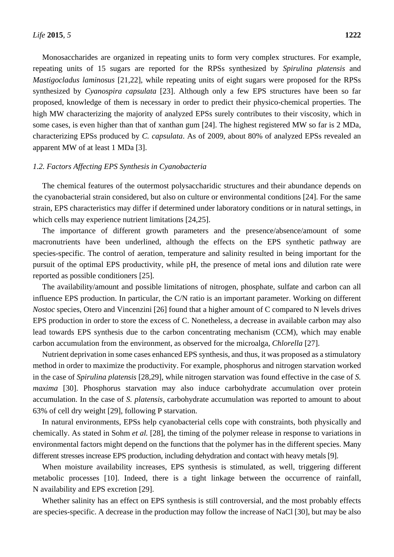Monosaccharides are organized in repeating units to form very complex structures. For example, repeating units of 15 sugars are reported for the RPSs synthesized by *Spirulina platensis* and *Mastigocladus laminosus* [21,22], while repeating units of eight sugars were proposed for the RPSs synthesized by *Cyanospira capsulata* [23]. Although only a few EPS structures have been so far proposed, knowledge of them is necessary in order to predict their physico-chemical properties. The high MW characterizing the majority of analyzed EPSs surely contributes to their viscosity, which in some cases, is even higher than that of xanthan gum [24]. The highest registered MW so far is 2 MDa, characterizing EPSs produced by *C. capsulata*. As of 2009, about 80% of analyzed EPSs revealed an apparent MW of at least 1 MDa [3].

# *1.2. Factors Affecting EPS Synthesis in Cyanobacteria*

The chemical features of the outermost polysaccharidic structures and their abundance depends on the cyanobacterial strain considered, but also on culture or environmental conditions [24]. For the same strain, EPS characteristics may differ if determined under laboratory conditions or in natural settings, in which cells may experience nutrient limitations [24,25].

The importance of different growth parameters and the presence/absence/amount of some macronutrients have been underlined, although the effects on the EPS synthetic pathway are species-specific. The control of aeration, temperature and salinity resulted in being important for the pursuit of the optimal EPS productivity, while pH, the presence of metal ions and dilution rate were reported as possible conditioners [25].

The availability/amount and possible limitations of nitrogen, phosphate, sulfate and carbon can all influence EPS production. In particular, the C/N ratio is an important parameter. Working on different *Nostoc* species, Otero and Vincenzini [26] found that a higher amount of C compared to N levels drives EPS production in order to store the excess of C. Nonetheless, a decrease in available carbon may also lead towards EPS synthesis due to the carbon concentrating mechanism (CCM), which may enable carbon accumulation from the environment, as observed for the microalga, *Chlorella* [27].

Nutrient deprivation in some cases enhanced EPS synthesis, and thus, it was proposed as a stimulatory method in order to maximize the productivity. For example, phosphorus and nitrogen starvation worked in the case of *Spirulina platensis* [28,29], while nitrogen starvation was found effective in the case of *S. maxima* [30]. Phosphorus starvation may also induce carbohydrate accumulation over protein accumulation. In the case of *S. platensis*, carbohydrate accumulation was reported to amount to about 63% of cell dry weight [29], following P starvation.

In natural environments, EPSs help cyanobacterial cells cope with constraints, both physically and chemically. As stated in Sohm *et al.* [28], the timing of the polymer release in response to variations in environmental factors might depend on the functions that the polymer has in the different species. Many different stresses increase EPS production, including dehydration and contact with heavy metals [9].

When moisture availability increases, EPS synthesis is stimulated, as well, triggering different metabolic processes [10]. Indeed, there is a tight linkage between the occurrence of rainfall, N availability and EPS excretion [29].

Whether salinity has an effect on EPS synthesis is still controversial, and the most probably effects are species-specific. A decrease in the production may follow the increase of NaCl [30], but may be also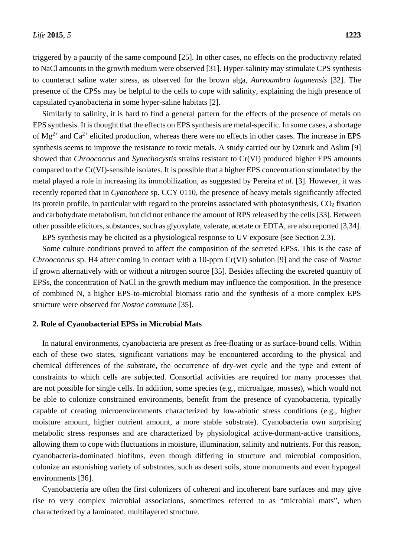triggered by a paucity of the same compound [25]. In other cases, no effects on the productivity related to NaCl amounts in the growth medium were observed [31]. Hyper-salinity may stimulate CPS synthesis to counteract saline water stress, as observed for the brown alga, *Aureoumbra lagunensis* [32]. The presence of the CPSs may be helpful to the cells to cope with salinity, explaining the high presence of capsulated cyanobacteria in some hyper-saline habitats [2].

Similarly to salinity, it is hard to find a general pattern for the effects of the presence of metals on EPS synthesis. It is thought that the effects on EPS synthesis are metal-specific. In some cases, a shortage of  $Mg^{2+}$  and  $Ca^{2+}$  elicited production, whereas there were no effects in other cases. The increase in EPS synthesis seems to improve the resistance to toxic metals. A study carried out by Ozturk and Aslim [9] showed that *Chroococcus* and *Synechocystis* strains resistant to Cr(VI) produced higher EPS amounts compared to the Cr(VI)-sensible isolates. It is possible that a higher EPS concentration stimulated by the metal played a role in increasing its immobilization, as suggested by Pereira *et al.* [3]. However, it was recently reported that in *Cyanothece* sp. CCY 0110, the presence of heavy metals significantly affected its protein profile, in particular with regard to the proteins associated with photosynthesis, CO2 fixation and carbohydrate metabolism, but did not enhance the amount of RPS released by the cells [33]. Between other possible elicitors, substances, such as glyoxylate, valerate, acetate or EDTA, are also reported [3,34].

EPS synthesis may be elicited as a physiological response to UV exposure (see Section 2.3).

Some culture conditions proved to affect the composition of the secreted EPSs. This is the case of *Chroococcus* sp. H4 after coming in contact with a 10-ppm Cr(VI) solution [9] and the case of *Nostoc*  if grown alternatively with or without a nitrogen source [35]. Besides affecting the excreted quantity of EPSs, the concentration of NaCl in the growth medium may influence the composition. In the presence of combined N, a higher EPS-to-microbial biomass ratio and the synthesis of a more complex EPS structure were observed for *Nostoc commune* [35].

# **2. Role of Cyanobacterial EPSs in Microbial Mats**

In natural environments, cyanobacteria are present as free-floating or as surface-bound cells. Within each of these two states, significant variations may be encountered according to the physical and chemical differences of the substrate, the occurrence of dry-wet cycle and the type and extent of constraints to which cells are subjected. Consortial activities are required for many processes that are not possible for single cells. In addition, some species (e.g., microalgae, mosses), which would not be able to colonize constrained environments, benefit from the presence of cyanobacteria, typically capable of creating microenvironments characterized by low-abiotic stress conditions (e.g., higher moisture amount, higher nutrient amount, a more stable substrate). Cyanobacteria own surprising metabolic stress responses and are characterized by physiological active-dormant-active transitions, allowing them to cope with fluctuations in moisture, illumination, salinity and nutrients. For this reason, cyanobacteria-dominated biofilms, even though differing in structure and microbial composition, colonize an astonishing variety of substrates, such as desert soils, stone monuments and even hypogeal environments [36].

Cyanobacteria are often the first colonizers of coherent and incoherent bare surfaces and may give rise to very complex microbial associations, sometimes referred to as "microbial mats", when characterized by a laminated, multilayered structure.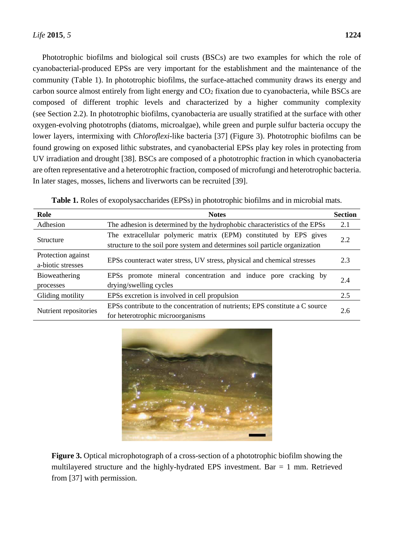Phototrophic biofilms and biological soil crusts (BSCs) are two examples for which the role of cyanobacterial-produced EPSs are very important for the establishment and the maintenance of the community (Table 1). In phototrophic biofilms, the surface-attached community draws its energy and carbon source almost entirely from light energy and CO<sub>2</sub> fixation due to cyanobacteria, while BSCs are composed of different trophic levels and characterized by a higher community complexity (see Section 2.2). In phototrophic biofilms, cyanobacteria are usually stratified at the surface with other oxygen-evolving phototrophs (diatoms, microalgae), while green and purple sulfur bacteria occupy the lower layers, intermixing with *Chloroflexi*-like bacteria [37] (Figure 3). Phototrophic biofilms can be found growing on exposed lithic substrates, and cyanobacterial EPSs play key roles in protecting from UV irradiation and drought [38]. BSCs are composed of a phototrophic fraction in which cyanobacteria are often representative and a heterotrophic fraction, composed of microfungi and heterotrophic bacteria. In later stages, mosses, lichens and liverworts can be recruited [39].

**Table 1.** Roles of exopolysaccharides (EPSs) in phototrophic biofilms and in microbial mats.

| Role                                    | <b>Notes</b>                                                                                                                                     | <b>Section</b> |
|-----------------------------------------|--------------------------------------------------------------------------------------------------------------------------------------------------|----------------|
| Adhesion                                | The adhesion is determined by the hydrophobic characteristics of the EPSs                                                                        | 2.1            |
| Structure                               | The extracellular polymeric matrix (EPM) constituted by EPS gives<br>structure to the soil pore system and determines soil particle organization | 2.2            |
| Protection against<br>a-biotic stresses | EPSs counteract water stress, UV stress, physical and chemical stresses                                                                          | 2.3            |
| Bioweathering<br>processes              | EPSs promote mineral concentration and induce pore cracking by<br>drying/swelling cycles                                                         | 2.4            |
| Gliding motility                        | EPSs excretion is involved in cell propulsion                                                                                                    | 2.5            |
| Nutrient repositories                   | EPSs contribute to the concentration of nutrients; EPS constitute a C source<br>for heterotrophic microorganisms                                 | 2.6            |



**Figure 3.** Optical microphotograph of a cross-section of a phototrophic biofilm showing the multilayered structure and the highly-hydrated EPS investment. Bar  $= 1$  mm. Retrieved from [37] with permission.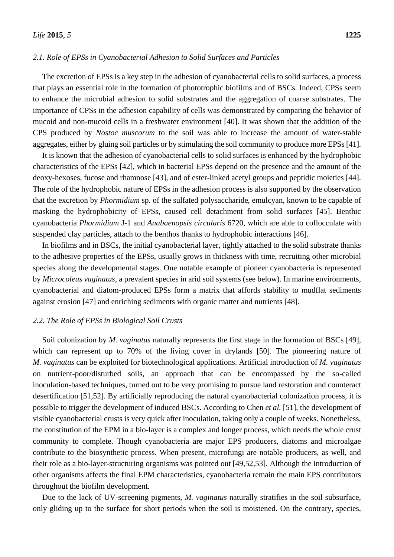# *2.1. Role of EPSs in Cyanobacterial Adhesion to Solid Surfaces and Particles*

The excretion of EPSs is a key step in the adhesion of cyanobacterial cells to solid surfaces, a process that plays an essential role in the formation of phototrophic biofilms and of BSCs. Indeed, CPSs seem to enhance the microbial adhesion to solid substrates and the aggregation of coarse substrates. The importance of CPSs in the adhesion capability of cells was demonstrated by comparing the behavior of mucoid and non-mucoid cells in a freshwater environment [40]. It was shown that the addition of the CPS produced by *Nostoc muscorum* to the soil was able to increase the amount of water-stable aggregates, either by gluing soil particles or by stimulating the soil community to produce more EPSs [41].

It is known that the adhesion of cyanobacterial cells to solid surfaces is enhanced by the hydrophobic characteristics of the EPSs [42], which in bacterial EPSs depend on the presence and the amount of the deoxy-hexoses, fucose and rhamnose [43], and of ester-linked acetyl groups and peptidic moieties [44]. The role of the hydrophobic nature of EPSs in the adhesion process is also supported by the observation that the excretion by *Phormidium* sp. of the sulfated polysaccharide, emulcyan, known to be capable of masking the hydrophobicity of EPSs, caused cell detachment from solid surfaces [45]. Benthic cyanobacteria *Phormidium* J-1 and *Anabaenopsis circularis* 6720, which are able to coflocculate with suspended clay particles, attach to the benthos thanks to hydrophobic interactions [46].

In biofilms and in BSCs, the initial cyanobacterial layer, tightly attached to the solid substrate thanks to the adhesive properties of the EPSs, usually grows in thickness with time, recruiting other microbial species along the developmental stages. One notable example of pioneer cyanobacteria is represented by *Microcoleus vaginatus*, a prevalent species in arid soil systems (see below). In marine environments, cyanobacterial and diatom-produced EPSs form a matrix that affords stability to mudflat sediments against erosion [47] and enriching sediments with organic matter and nutrients [48].

#### *2.2. The Role of EPSs in Biological Soil Crusts*

Soil colonization by *M. vaginatus* naturally represents the first stage in the formation of BSCs [49], which can represent up to 70% of the living cover in drylands [50]. The pioneering nature of *M. vaginatus* can be exploited for biotechnological applications. Artificial introduction of *M. vaginatus* on nutrient-poor/disturbed soils, an approach that can be encompassed by the so-called inoculation-based techniques, turned out to be very promising to pursue land restoration and counteract desertification [51,52]. By artificially reproducing the natural cyanobacterial colonization process, it is possible to trigger the development of induced BSCs. According to Chen *et al.* [51], the development of visible cyanobacterial crusts is very quick after inoculation, taking only a couple of weeks. Nonetheless, the constitution of the EPM in a bio-layer is a complex and longer process, which needs the whole crust community to complete. Though cyanobacteria are major EPS producers, diatoms and microalgae contribute to the biosynthetic process. When present, microfungi are notable producers, as well, and their role as a bio-layer-structuring organisms was pointed out [49,52,53]. Although the introduction of other organisms affects the final EPM characteristics, cyanobacteria remain the main EPS contributors throughout the biofilm development.

Due to the lack of UV-screening pigments, *M. vaginatus* naturally stratifies in the soil subsurface, only gliding up to the surface for short periods when the soil is moistened. On the contrary, species,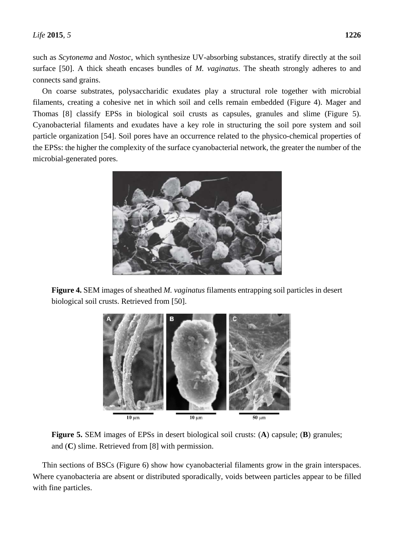such as *Scytonema* and *Nostoc*, which synthesize UV-absorbing substances, stratify directly at the soil surface [50]. A thick sheath encases bundles of *M. vaginatus*. The sheath strongly adheres to and connects sand grains.

On coarse substrates, polysaccharidic exudates play a structural role together with microbial filaments, creating a cohesive net in which soil and cells remain embedded (Figure 4). Mager and Thomas [8] classify EPSs in biological soil crusts as capsules, granules and slime (Figure 5). Cyanobacterial filaments and exudates have a key role in structuring the soil pore system and soil particle organization [54]. Soil pores have an occurrence related to the physico-chemical properties of the EPSs: the higher the complexity of the surface cyanobacterial network, the greater the number of the microbial-generated pores.



**Figure 4.** SEM images of sheathed *M. vaginatus* filaments entrapping soil particles in desert biological soil crusts. Retrieved from [50].



**Figure 5.** SEM images of EPSs in desert biological soil crusts: (**A**) capsule; (**B**) granules; and (**C**) slime. Retrieved from [8] with permission.

Thin sections of BSCs (Figure 6) show how cyanobacterial filaments grow in the grain interspaces. Where cyanobacteria are absent or distributed sporadically, voids between particles appear to be filled with fine particles.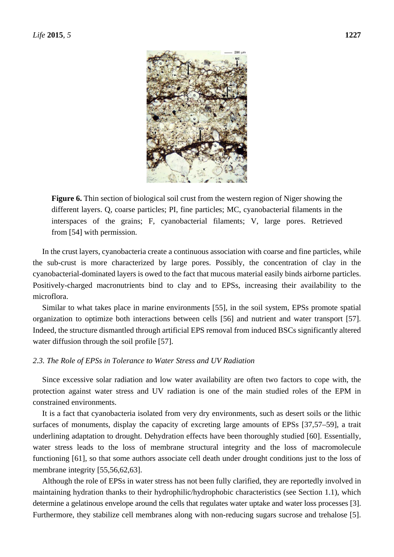

**Figure 6.** Thin section of biological soil crust from the western region of Niger showing the different layers. Q, coarse particles; PI, fine particles; MC, cyanobacterial filaments in the interspaces of the grains; F, cyanobacterial filaments; V, large pores. Retrieved from [54] with permission.

In the crust layers, cyanobacteria create a continuous association with coarse and fine particles, while the sub-crust is more characterized by large pores. Possibly, the concentration of clay in the cyanobacterial-dominated layers is owed to the fact that mucous material easily binds airborne particles. Positively-charged macronutrients bind to clay and to EPSs, increasing their availability to the microflora.

Similar to what takes place in marine environments [55], in the soil system, EPSs promote spatial organization to optimize both interactions between cells [56] and nutrient and water transport [57]. Indeed, the structure dismantled through artificial EPS removal from induced BSCs significantly altered water diffusion through the soil profile [57].

# *2.3. The Role of EPSs in Tolerance to Water Stress and UV Radiation*

Since excessive solar radiation and low water availability are often two factors to cope with, the protection against water stress and UV radiation is one of the main studied roles of the EPM in constrained environments.

It is a fact that cyanobacteria isolated from very dry environments, such as desert soils or the lithic surfaces of monuments, display the capacity of excreting large amounts of EPSs [37,57–59], a trait underlining adaptation to drought. Dehydration effects have been thoroughly studied [60]. Essentially, water stress leads to the loss of membrane structural integrity and the loss of macromolecule functioning [61], so that some authors associate cell death under drought conditions just to the loss of membrane integrity [55,56,62,63].

Although the role of EPSs in water stress has not been fully clarified, they are reportedly involved in maintaining hydration thanks to their hydrophilic/hydrophobic characteristics (see Section 1.1), which determine a gelatinous envelope around the cells that regulates water uptake and water loss processes [3]. Furthermore, they stabilize cell membranes along with non-reducing sugars sucrose and trehalose [5].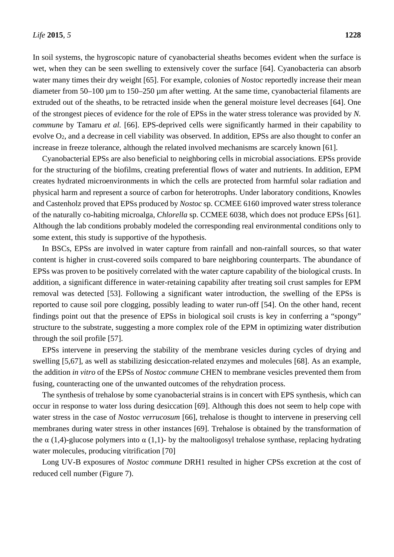In soil systems, the hygroscopic nature of cyanobacterial sheaths becomes evident when the surface is wet, when they can be seen swelling to extensively cover the surface [64]. Cyanobacteria can absorb water many times their dry weight [65]. For example, colonies of *Nostoc* reportedly increase their mean diameter from 50–100 µm to 150–250 µm after wetting. At the same time, cyanobacterial filaments are extruded out of the sheaths, to be retracted inside when the general moisture level decreases [64]. One of the strongest pieces of evidence for the role of EPSs in the water stress tolerance was provided by *N. commune* by Tamaru *et al.* [66]. EPS-deprived cells were significantly harmed in their capability to evolve O2, and a decrease in cell viability was observed. In addition, EPSs are also thought to confer an increase in freeze tolerance, although the related involved mechanisms are scarcely known [61].

Cyanobacterial EPSs are also beneficial to neighboring cells in microbial associations. EPSs provide for the structuring of the biofilms, creating preferential flows of water and nutrients. In addition, EPM creates hydrated microenvironments in which the cells are protected from harmful solar radiation and physical harm and represent a source of carbon for heterotrophs. Under laboratory conditions, Knowles and Castenholz proved that EPSs produced by *Nostoc* sp. CCMEE 6160 improved water stress tolerance of the naturally co-habiting microalga, *Chlorella* sp. CCMEE 6038, which does not produce EPSs [61]. Although the lab conditions probably modeled the corresponding real environmental conditions only to some extent, this study is supportive of the hypothesis.

In BSCs, EPSs are involved in water capture from rainfall and non-rainfall sources, so that water content is higher in crust-covered soils compared to bare neighboring counterparts. The abundance of EPSs was proven to be positively correlated with the water capture capability of the biological crusts. In addition, a significant difference in water-retaining capability after treating soil crust samples for EPM removal was detected [53]. Following a significant water introduction, the swelling of the EPSs is reported to cause soil pore clogging, possibly leading to water run-off [54]. On the other hand, recent findings point out that the presence of EPSs in biological soil crusts is key in conferring a "spongy" structure to the substrate, suggesting a more complex role of the EPM in optimizing water distribution through the soil profile [57].

EPSs intervene in preserving the stability of the membrane vesicles during cycles of drying and swelling [5,67], as well as stabilizing desiccation-related enzymes and molecules [68]. As an example, the addition *in vitro* of the EPSs of *Nostoc commune* CHEN to membrane vesicles prevented them from fusing, counteracting one of the unwanted outcomes of the rehydration process.

The synthesis of trehalose by some cyanobacterial strains is in concert with EPS synthesis, which can occur in response to water loss during desiccation [69]. Although this does not seem to help cope with water stress in the case of *Nostoc verrucosum* [66], trehalose is thought to intervene in preserving cell membranes during water stress in other instances [69]. Trehalose is obtained by the transformation of the  $\alpha$  (1,4)-glucose polymers into  $\alpha$  (1,1)- by the maltooligosyl trehalose synthase, replacing hydrating water molecules, producing vitrification [70]

Long UV-B exposures of *Nostoc commune* DRH1 resulted in higher CPSs excretion at the cost of reduced cell number (Figure 7).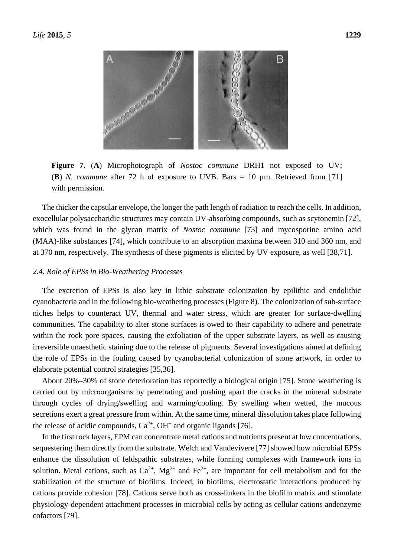

**Figure 7.** (**A**) Microphotograph of *Nostoc commune* DRH1 not exposed to UV; (**B**) *N. commune* after 72 h of exposure to UVB. Bars = 10 µm. Retrieved from [71] with permission.

The thicker the capsular envelope, the longer the path length of radiation to reach the cells. In addition, exocellular polysaccharidic structures may contain UV-absorbing compounds, such as scytonemin [72], which was found in the glycan matrix of *Nostoc commune* [73] and mycosporine amino acid (MAA)-like substances [74], which contribute to an absorption maxima between 310 and 360 nm, and at 370 nm, respectively. The synthesis of these pigments is elicited by UV exposure, as well [38,71].

#### *2.4. Role of EPSs in Bio-Weathering Processes*

The excretion of EPSs is also key in lithic substrate colonization by epilithic and endolithic cyanobacteria and in the following bio-weathering processes (Figure 8). The colonization of sub-surface niches helps to counteract UV, thermal and water stress, which are greater for surface-dwelling communities. The capability to alter stone surfaces is owed to their capability to adhere and penetrate within the rock pore spaces, causing the exfoliation of the upper substrate layers, as well as causing irreversible unaesthetic staining due to the release of pigments. Several investigations aimed at defining the role of EPSs in the fouling caused by cyanobacterial colonization of stone artwork, in order to elaborate potential control strategies [35,36].

About 20%–30% of stone deterioration has reportedly a biological origin [75]. Stone weathering is carried out by microorganisms by penetrating and pushing apart the cracks in the mineral substrate through cycles of drying/swelling and warming/cooling. By swelling when wetted, the mucous secretions exert a great pressure from within. At the same time, mineral dissolution takes place following the release of acidic compounds,  $Ca^{2+}$ , OH<sup>-</sup> and organic ligands [76].

In the first rock layers, EPM can concentrate metal cations and nutrients present at low concentrations, sequestering them directly from the substrate. Welch and Vandevivere [77] showed how microbial EPSs enhance the dissolution of feldspathic substrates, while forming complexes with framework ions in solution. Metal cations, such as  $Ca^{2+}$ , Mg<sup>2+</sup> and Fe<sup>2+</sup>, are important for cell metabolism and for the stabilization of the structure of biofilms. Indeed, in biofilms, electrostatic interactions produced by cations provide cohesion [78]. Cations serve both as cross-linkers in the biofilm matrix and stimulate physiology-dependent attachment processes in microbial cells by acting as cellular cations andenzyme cofactors [79].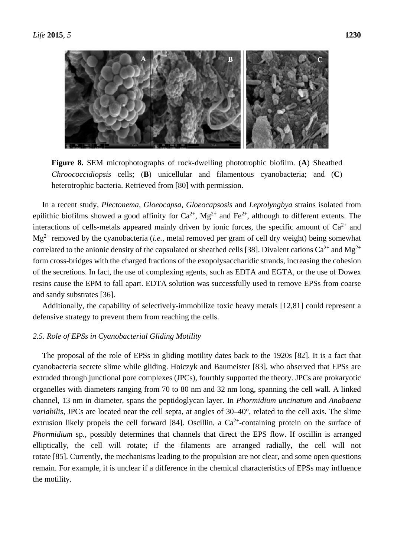

**Figure 8.** SEM microphotographs of rock-dwelling phototrophic biofilm. (**A**) Sheathed *Chroococcidiopsis* cells; (**B**) unicellular and filamentous cyanobacteria; and (**C**) heterotrophic bacteria. Retrieved from [80] with permission.

In a recent study, *Plectonema*, *Gloeocapsa*, *Gloeocapsosis* and *Leptolyngbya* strains isolated from epilithic biofilms showed a good affinity for  $Ca^{2+}$ ,  $Mg^{2+}$  and  $Fe^{2+}$ , although to different extents. The interactions of cells-metals appeared mainly driven by ionic forces, the specific amount of  $Ca^{2+}$  and Mg2+ removed by the cyanobacteria (*i.e.*, metal removed per gram of cell dry weight) being somewhat correlated to the anionic density of the capsulated or sheathed cells [38]. Divalent cations  $Ca^{2+}$  and  $Mg^{2+}$ form cross-bridges with the charged fractions of the exopolysaccharidic strands, increasing the cohesion of the secretions. In fact, the use of complexing agents, such as EDTA and EGTA, or the use of Dowex resins cause the EPM to fall apart. EDTA solution was successfully used to remove EPSs from coarse and sandy substrates [36].

Additionally, the capability of selectively-immobilize toxic heavy metals [12,81] could represent a defensive strategy to prevent them from reaching the cells.

## *2.5. Role of EPSs in Cyanobacterial Gliding Motility*

The proposal of the role of EPSs in gliding motility dates back to the 1920s [82]. It is a fact that cyanobacteria secrete slime while gliding. Hoiczyk and Baumeister [83], who observed that EPSs are extruded through junctional pore complexes (JPCs), fourthly supported the theory. JPCs are prokaryotic organelles with diameters ranging from 70 to 80 nm and 32 nm long, spanning the cell wall. A linked channel, 13 nm in diameter, spans the peptidoglycan layer. In *Phormidium uncinatum* and *Anabaena variabilis*, JPCs are located near the cell septa, at angles of 30–40°, related to the cell axis. The slime extrusion likely propels the cell forward [84]. Oscillin, a  $Ca^{2+}$ -containing protein on the surface of *Phormidium* sp., possibly determines that channels that direct the EPS flow. If oscillin is arranged elliptically, the cell will rotate; if the filaments are arranged radially, the cell will not rotate [85]. Currently, the mechanisms leading to the propulsion are not clear, and some open questions remain. For example, it is unclear if a difference in the chemical characteristics of EPSs may influence the motility.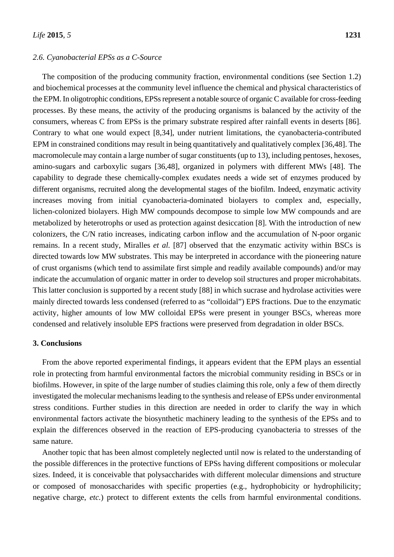#### *2.6. Cyanobacterial EPSs as a C-Source*

The composition of the producing community fraction, environmental conditions (see Section 1.2) and biochemical processes at the community level influence the chemical and physical characteristics of the EPM. In oligotrophic conditions, EPSs represent a notable source of organic C available for cross-feeding processes. By these means, the activity of the producing organisms is balanced by the activity of the consumers, whereas C from EPSs is the primary substrate respired after rainfall events in deserts [86]. Contrary to what one would expect [8,34], under nutrient limitations, the cyanobacteria-contributed EPM in constrained conditions may result in being quantitatively and qualitatively complex [36,48]. The macromolecule may contain a large number of sugar constituents (up to 13), including pentoses, hexoses, amino-sugars and carboxylic sugars [36,48], organized in polymers with different MWs [48]. The capability to degrade these chemically-complex exudates needs a wide set of enzymes produced by different organisms, recruited along the developmental stages of the biofilm. Indeed, enzymatic activity increases moving from initial cyanobacteria-dominated biolayers to complex and, especially, lichen-colonized biolayers. High MW compounds decompose to simple low MW compounds and are metabolized by heterotrophs or used as protection against desiccation [8]. With the introduction of new colonizers, the C/N ratio increases, indicating carbon inflow and the accumulation of N-poor organic remains. In a recent study, Miralles *et al.* [87] observed that the enzymatic activity within BSCs is directed towards low MW substrates. This may be interpreted in accordance with the pioneering nature of crust organisms (which tend to assimilate first simple and readily available compounds) and/or may indicate the accumulation of organic matter in order to develop soil structures and proper microhabitats. This latter conclusion is supported by a recent study [88] in which sucrase and hydrolase activities were mainly directed towards less condensed (referred to as "colloidal") EPS fractions. Due to the enzymatic activity, higher amounts of low MW colloidal EPSs were present in younger BSCs, whereas more condensed and relatively insoluble EPS fractions were preserved from degradation in older BSCs.

# **3. Conclusions**

From the above reported experimental findings, it appears evident that the EPM plays an essential role in protecting from harmful environmental factors the microbial community residing in BSCs or in biofilms. However, in spite of the large number of studies claiming this role, only a few of them directly investigated the molecular mechanisms leading to the synthesis and release of EPSs under environmental stress conditions. Further studies in this direction are needed in order to clarify the way in which environmental factors activate the biosynthetic machinery leading to the synthesis of the EPSs and to explain the differences observed in the reaction of EPS-producing cyanobacteria to stresses of the same nature.

Another topic that has been almost completely neglected until now is related to the understanding of the possible differences in the protective functions of EPSs having different compositions or molecular sizes. Indeed, it is conceivable that polysaccharides with different molecular dimensions and structure or composed of monosaccharides with specific properties (e.g., hydrophobicity or hydrophilicity; negative charge, *etc.*) protect to different extents the cells from harmful environmental conditions.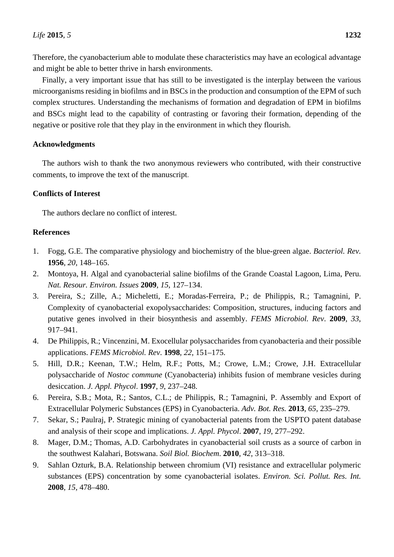Therefore, the cyanobacterium able to modulate these characteristics may have an ecological advantage and might be able to better thrive in harsh environments.

Finally, a very important issue that has still to be investigated is the interplay between the various microorganisms residing in biofilms and in BSCs in the production and consumption of the EPM of such complex structures. Understanding the mechanisms of formation and degradation of EPM in biofilms and BSCs might lead to the capability of contrasting or favoring their formation, depending of the negative or positive role that they play in the environment in which they flourish.

# **Acknowledgments**

The authors wish to thank the two anonymous reviewers who contributed, with their constructive comments, to improve the text of the manuscript.

# **Conflicts of Interest**

The authors declare no conflict of interest.

## **References**

- 1. Fogg, G.E. The comparative physiology and biochemistry of the blue-green algae. *Bacteriol. Rev.*  **1956**, *20*, 148–165.
- 2. Montoya, H. Algal and cyanobacterial saline biofilms of the Grande Coastal Lagoon, Lima, Peru. *Nat. Resour. Environ. Issues* **2009**, *15*, 127–134.
- 3. Pereira, S.; Zille, A.; Micheletti, E.; Moradas-Ferreira, P.; de Philippis, R.; Tamagnini, P. Complexity of cyanobacterial exopolysaccharides: Composition, structures, inducing factors and putative genes involved in their biosynthesis and assembly. *FEMS Microbiol. Rev*. **2009**, *33*, 917–941.
- 4. De Philippis, R.; Vincenzini, M. Exocellular polysaccharides from cyanobacteria and their possible applications. *FEMS Microbiol. Rev*. **1998**, *22*, 151–175.
- 5. Hill, D.R.; Keenan, T.W.; Helm, R.F.; Potts, M.; Crowe, L.M.; Crowe, J.H. Extracellular polysaccharide of *Nostoc commune* (Cyanobacteria) inhibits fusion of membrane vesicles during desiccation. *J. Appl. Phycol*. **1997**, *9*, 237–248.
- 6. Pereira, S.B.; Mota, R.; Santos, C.L.; de Philippis, R.; Tamagnini, P. Assembly and Export of Extracellular Polymeric Substances (EPS) in Cyanobacteria. *Adv. Bot. Res.* **2013**, *65*, 235–279.
- 7. Sekar, S.; Paulraj, P. Strategic mining of cyanobacterial patents from the USPTO patent database and analysis of their scope and implications. *J. Appl. Phycol*. **2007**, *19*, 277–292.
- 8. Mager, D.M.; Thomas, A.D. Carbohydrates in cyanobacterial soil crusts as a source of carbon in the southwest Kalahari, Botswana. *Soil Biol. Biochem*. **2010**, *42*, 313–318.
- 9. Sahlan Ozturk, B.A. Relationship between chromium (VI) resistance and extracellular polymeric substances (EPS) concentration by some cyanobacterial isolates. *Environ. Sci. Pollut. Res. Int.* **2008**, *15*, 478–480.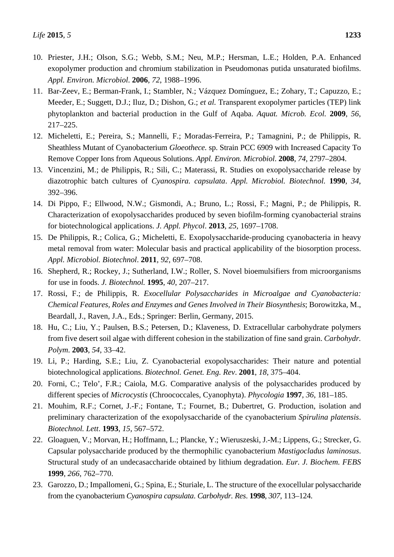- 10. Priester, J.H.; Olson, S.G.; Webb, S.M.; Neu, M.P.; Hersman, L.E.; Holden, P.A. Enhanced exopolymer production and chromium stabilization in Pseudomonas putida unsaturated biofilms. *Appl. Environ. Microbiol*. **2006**, *72*, 1988–1996.
- 11. Bar-Zeev, E.; Berman-Frank, I.; Stambler, N.; Vázquez Domínguez, E.; Zohary, T.; Capuzzo, E.; Meeder, E.; Suggett, D.J.; Iluz, D.; Dishon, G.; *et al.* Transparent exopolymer particles (TEP) link phytoplankton and bacterial production in the Gulf of Aqaba. *Aquat. Microb. Ecol.* **2009**, *56*, 217–225.
- 12. Micheletti, E.; Pereira, S.; Mannelli, F.; Moradas-Ferreira, P.; Tamagnini, P.; de Philippis, R. Sheathless Mutant of Cyanobacterium *Gloeothece.* sp. Strain PCC 6909 with Increased Capacity To Remove Copper Ions from Aqueous Solutions. *Appl. Environ. Microbiol*. **2008**, *74*, 2797–2804.
- 13. Vincenzini, M.; de Philippis, R.; Sili, C.; Materassi, R. Studies on exopolysaccharide release by diazotrophic batch cultures of *Cyanospira. capsulata*. *Appl. Microbiol. Biotechnol.* **1990**, *34*, 392–396.
- 14. Di Pippo, F.; Ellwood, N.W.; Gismondi, A.; Bruno, L.; Rossi, F.; Magni, P.; de Philippis, R. Characterization of exopolysaccharides produced by seven biofilm-forming cyanobacterial strains for biotechnological applications. *J. Appl. Phycol*. **2013**, *25*, 1697–1708.
- 15. De Philippis, R.; Colica, G.; Micheletti, E. Exopolysaccharide-producing cyanobacteria in heavy metal removal from water: Molecular basis and practical applicability of the biosorption process. *Appl. Microbiol. Biotechnol*. **2011**, *92*, 697–708.
- 16. Shepherd, R.; Rockey, J.; Sutherland, I.W.; Roller, S. Novel bioemulsifiers from microorganisms for use in foods. *J. Biotechnol.* **1995**, *40*, 207–217.
- 17. Rossi, F.; de Philippis, R. *Exocellular Polysaccharides in Microalgae and Cyanobacteria: Chemical Features, Roles and Enzymes and Genes Involved in Their Biosynthesis*; Borowitzka, M., Beardall, J., Raven, J.A., Eds.; Springer: Berlin, Germany, 2015.
- 18. Hu, C.; Liu, Y.; Paulsen, B.S.; Petersen, D.; Klaveness, D. Extracellular carbohydrate polymers from five desert soil algae with different cohesion in the stabilization of fine sand grain. *Carbohydr. Polym*. **2003**, *54*, 33–42.
- 19. Li, P.; Harding, S.E.; Liu, Z. Cyanobacterial exopolysaccharides: Their nature and potential biotechnological applications. *Biotechnol. Genet. Eng. Rev*. **2001**, *18*, 375–404.
- 20. Forni, C.; Telo', F.R.; Caiola, M.G. Comparative analysis of the polysaccharides produced by different species of *Microcystis* (Chroococcales, Cyanophyta). *Phycologia* **1997**, *36*, 181–185.
- 21. Mouhim, R.F.; Cornet, J.-F.; Fontane, T.; Fournet, B.; Dubertret, G. Production, isolation and preliminary characterization of the exopolysaccharide of the cyanobacterium *Spirulina platensis*. *Biotechnol. Lett*. **1993**, *15*, 567–572.
- 22. Gloaguen, V.; Morvan, H.; Hoffmann, L.; Plancke, Y.; Wieruszeski, J.-M.; Lippens, G.; Strecker, G. Capsular polysaccharide produced by the thermophilic cyanobacterium *Mastigocladus laminosus*. Structural study of an undecasaccharide obtained by lithium degradation. *Eur. J. Biochem. FEBS*  **1999**, *266*, 762–770.
- 23. Garozzo, D.; Impallomeni, G.; Spina, E.; Sturiale, L. The structure of the exocellular polysaccharide from the cyanobacterium *Cyanospira capsulata*. *Carbohydr. Res*. **1998**, *307*, 113–124.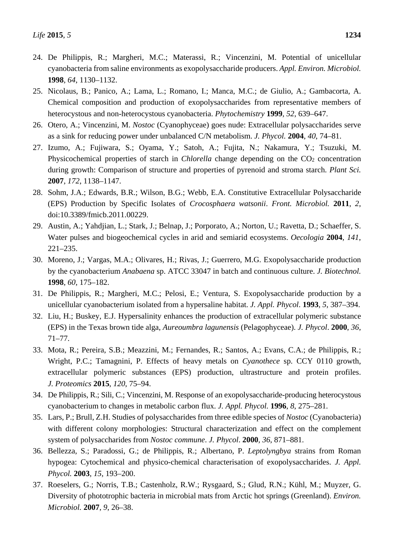- 24. De Philippis, R.; Margheri, M.C.; Materassi, R.; Vincenzini, M. Potential of unicellular cyanobacteria from saline environments as exopolysaccharide producers. *Appl. Environ. Microbiol.*  **1998**, *64*, 1130–1132.
- 25. Nicolaus, B.; Panico, A.; Lama, L.; Romano, I.; Manca, M.C.; de Giulio, A.; Gambacorta, A. Chemical composition and production of exopolysaccharides from representative members of heterocystous and non-heterocystous cyanobacteria. *Phytochemistry* **1999**, *52*, 639–647.
- 26. Otero, A.; Vincenzini, M. *Nostoc* (Cyanophyceae) goes nude: Extracellular polysaccharides serve as a sink for reducing power under unbalanced C/N metabolism. *J. Phycol.* **2004**, *40*, 74–81.
- 27. Izumo, A.; Fujiwara, S.; Oyama, Y.; Satoh, A.; Fujita, N.; Nakamura, Y.; Tsuzuki, M. Physicochemical properties of starch in *Chlorella* change depending on the CO<sub>2</sub> concentration during growth: Comparison of structure and properties of pyrenoid and stroma starch. *Plant Sci.*  **2007**, *172*, 1138–1147.
- 28. Sohm, J.A.; Edwards, B.R.; Wilson, B.G.; Webb, E.A. Constitutive Extracellular Polysaccharide (EPS) Production by Specific Isolates of *Crocosphaera watsonii*. *Front. Microbiol.* **2011**, *2*, doi:10.3389/fmicb.2011.00229.
- 29. Austin, A.; Yahdjian, L.; Stark, J.; Belnap, J.; Porporato, A.; Norton, U.; Ravetta, D.; Schaeffer, S. Water pulses and biogeochemical cycles in arid and semiarid ecosystems. *Oecologia* **2004**, *141*, 221–235.
- 30. Moreno, J.; Vargas, M.A.; Olivares, H.; Rivas, J.; Guerrero, M.G. Exopolysaccharide production by the cyanobacterium *Anabaena* sp. ATCC 33047 in batch and continuous culture. *J. Biotechnol.*  **1998**, *60*, 175–182.
- 31. De Philippis, R.; Margheri, M.C.; Pelosi, E.; Ventura, S. Exopolysaccharide production by a unicellular cyanobacterium isolated from a hypersaline habitat. *J. Appl. Phycol*. **1993**, *5*, 387–394.
- 32. Liu, H.; Buskey, E.J. Hypersalinity enhances the production of extracellular polymeric substance (EPS) in the Texas brown tide alga, *Aureoumbra lagunensis* (Pelagophyceae). *J. Phycol*. **2000**, *36*, 71–77.
- 33. Mota, R.; Pereira, S.B.; Meazzini, M.; Fernandes, R.; Santos, A.; Evans, C.A.; de Philippis, R.; Wright, P.C.; Tamagnini, P. Effects of heavy metals on *Cyanothece* sp. CCY 0110 growth, extracellular polymeric substances (EPS) production, ultrastructure and protein profiles. *J. Proteomics* **2015**, *120*, 75–94.
- 34. De Philippis, R.; Sili, C.; Vincenzini, M. Response of an exopolysaccharide-producing heterocystous cyanobacterium to changes in metabolic carbon flux. *J. Appl. Phycol.* **1996**, *8*, 275–281.
- 35. Lars, P.; Brull, Z.H. Studies of polysaccharides from three edible species of *Nostoc* (Cyanobacteria) with different colony morphologies: Structural characterization and effect on the complement system of polysaccharides from *Nostoc commune*. *J. Phycol*. **2000**, *36*, 871–881.
- 36. Bellezza, S.; Paradossi, G.; de Philippis, R.; Albertano, P. *Leptolyngbya* strains from Roman hypogea: Cytochemical and physico-chemical characterisation of exopolysaccharides. *J. Appl. Phycol.* **2003**, *15*, 193–200.
- 37. Roeselers, G.; Norris, T.B.; Castenholz, R.W.; Rysgaard, S.; Glud, R.N.; Kühl, M.; Muyzer, G. Diversity of phototrophic bacteria in microbial mats from Arctic hot springs (Greenland). *Environ. Microbiol.* **2007**, *9*, 26–38.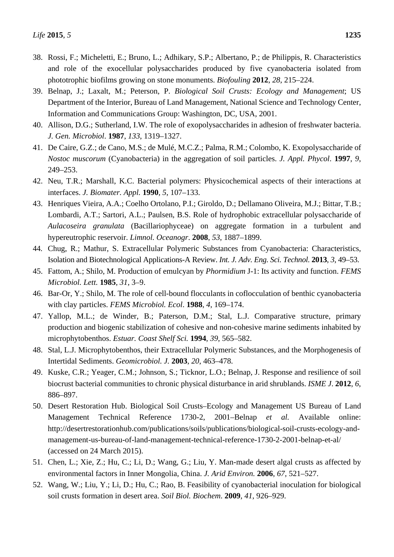- 38. Rossi, F.; Micheletti, E.; Bruno, L.; Adhikary, S.P.; Albertano, P.; de Philippis, R. Characteristics and role of the exocellular polysaccharides produced by five cyanobacteria isolated from phototrophic biofilms growing on stone monuments. *Biofouling* **2012**, *28*, 215–224.
- 39. Belnap, J.; Laxalt, M.; Peterson, P. *Biological Soil Crusts: Ecology and Management*; US Department of the Interior, Bureau of Land Management, National Science and Technology Center, Information and Communications Group: Washington, DC, USA, 2001.
- 40. Allison, D.G.; Sutherland, I.W. The role of exopolysaccharides in adhesion of freshwater bacteria. *J. Gen. Microbiol*. **1987**, *133*, 1319–1327.
- 41. De Caire, G.Z.; de Cano, M.S.; de Mulé, M.C.Z.; Palma, R.M.; Colombo, K. Exopolysaccharide of *Nostoc muscorum* (Cyanobacteria) in the aggregation of soil particles. *J. Appl. Phycol*. **1997**, *9*, 249–253.
- 42. Neu, T.R.; Marshall, K.C. Bacterial polymers: Physicochemical aspects of their interactions at interfaces. *J. Biomater. Appl.* **1990**, *5*, 107–133.
- 43. Henriques Vieira, A.A.; Coelho Ortolano, P.I.; Giroldo, D.; Dellamano Oliveira, M.J.; Bittar, T.B.; Lombardi, A.T.; Sartori, A.L.; Paulsen, B.S. Role of hydrophobic extracellular polysaccharide of *Aulacoseira granulata* (Bacillariophyceae) on aggregate formation in a turbulent and hypereutrophic reservoir. *Limnol. Oceanogr*. **2008**, *53*, 1887–1899.
- 44. Chug, R.; Mathur, S. Extracellular Polymeric Substances from Cyanobacteria: Characteristics, Isolation and Biotechnological Applications-A Review. *Int. J. Adv. Eng. Sci. Technol.* **2013**, *3*, 49–53.
- 45. Fattom, A.; Shilo, M. Production of emulcyan by *Phormidium* J-1: Its activity and function. *FEMS Microbiol. Lett.* **1985**, *31*, 3–9.
- 46. Bar-Or, Y.; Shilo, M. The role of cell-bound flocculants in coflocculation of benthic cyanobacteria with clay particles. *FEMS Microbiol. Ecol*. **1988**, *4*, 169–174.
- 47. Yallop, M.L.; de Winder, B.; Paterson, D.M.; Stal, L.J. Comparative structure, primary production and biogenic stabilization of cohesive and non-cohesive marine sediments inhabited by microphytobenthos. *Estuar. Coast Shelf Sci.* **1994**, *39*, 565–582.
- 48. Stal, L.J. Microphytobenthos, their Extracellular Polymeric Substances, and the Morphogenesis of Intertidal Sediments. *Geomicrobiol. J.* **2003**, *20*, 463–478.
- 49. Kuske, C.R.; Yeager, C.M.; Johnson, S.; Ticknor, L.O.; Belnap, J. Response and resilience of soil biocrust bacterial communities to chronic physical disturbance in arid shrublands. *ISME J*. **2012**, *6*, 886–897.
- 50. Desert Restoration Hub. Biological Soil Crusts–Ecology and Management US Bureau of Land Management Technical Reference 1730-2, 2001–Belnap *et al.* Available online: http://desertrestorationhub.com/publications/soils/publications/biological-soil-crusts-ecology-andmanagement-us-bureau-of-land-management-technical-reference-1730-2-2001-belnap-et-al/ (accessed on 24 March 2015).
- 51. Chen, L.; Xie, Z.; Hu, C.; Li, D.; Wang, G.; Liu, Y. Man-made desert algal crusts as affected by environmental factors in Inner Mongolia, China. *J. Arid Environ.* **2006**, *67*, 521–527.
- 52. Wang, W.; Liu, Y.; Li, D.; Hu, C.; Rao, B. Feasibility of cyanobacterial inoculation for biological soil crusts formation in desert area. *Soil Biol. Biochem*. **2009**, *41*, 926–929.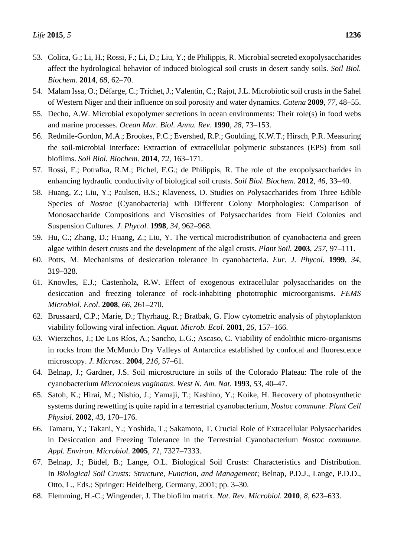- 53. Colica, G.; Li, H.; Rossi, F.; Li, D.; Liu, Y.; de Philippis, R. Microbial secreted exopolysaccharides affect the hydrological behavior of induced biological soil crusts in desert sandy soils. *Soil Biol. Biochem*. **2014**, *68*, 62–70.
- 54. Malam Issa, O.; Défarge, C.; Trichet, J.; Valentin, C.; Rajot, J.L. Microbiotic soil crusts in the Sahel of Western Niger and their influence on soil porosity and water dynamics. *Catena* **2009**, *77*, 48–55.
- 55. Decho, A.W. Microbial exopolymer secretions in ocean environments: Their role(s) in food webs and marine processes. *Ocean Mar. Biol. Annu. Rev*. **1990**, *28*, 73–153.
- 56. Redmile-Gordon, M.A.; Brookes, P.C.; Evershed, R.P.; Goulding, K.W.T.; Hirsch, P.R. Measuring the soil-microbial interface: Extraction of extracellular polymeric substances (EPS) from soil biofilms. *Soil Biol. Biochem.* **2014**, *72*, 163–171.
- 57. Rossi, F.; Potrafka, R.M.; Pichel, F.G.; de Philippis, R. The role of the exopolysaccharides in enhancing hydraulic conductivity of biological soil crusts. *Soil Biol. Biochem.* **2012**, *46*, 33–40.
- 58. Huang, Z.; Liu, Y.; Paulsen, B.S.; Klaveness, D. Studies on Polysaccharides from Three Edible Species of *Nostoc* (Cyanobacteria) with Different Colony Morphologies: Comparison of Monosaccharide Compositions and Viscosities of Polysaccharides from Field Colonies and Suspension Cultures. *J. Phycol.* **1998**, *34*, 962–968.
- 59. Hu, C.; Zhang, D.; Huang, Z.; Liu, Y. The vertical microdistribution of cyanobacteria and green algae within desert crusts and the development of the algal crusts. *Plant Soil.* **2003**, *257*, 97–111.
- 60. Potts, M. Mechanisms of desiccation tolerance in cyanobacteria. *Eur. J. Phycol.* **1999**, *34*, 319–328.
- 61. Knowles, E.J.; Castenholz, R.W. Effect of exogenous extracellular polysaccharides on the desiccation and freezing tolerance of rock-inhabiting phototrophic microorganisms. *FEMS Microbiol. Ecol*. **2008**, *66*, 261–270.
- 62. Brussaard, C.P.; Marie, D.; Thyrhaug, R.; Bratbak, G. Flow cytometric analysis of phytoplankton viability following viral infection. *Aquat. Microb. Ecol*. **2001**, *26*, 157–166.
- 63. Wierzchos, J.; De Los Ríos, A.; Sancho, L.G.; Ascaso, C. Viability of endolithic micro-organisms in rocks from the McMurdo Dry Valleys of Antarctica established by confocal and fluorescence microscopy. *J. Microsc.* **2004**, *216*, 57–61.
- 64. Belnap, J.; Gardner, J.S. Soil microstructure in soils of the Colorado Plateau: The role of the cyanobacterium *Microcoleus vaginatus*. *West N. Am. Nat*. **1993**, *53*, 40–47.
- 65. Satoh, K.; Hirai, M.; Nishio, J.; Yamaji, T.; Kashino, Y.; Koike, H. Recovery of photosynthetic systems during rewetting is quite rapid in a terrestrial cyanobacterium, *Nostoc commune*. *Plant Cell Physiol.* **2002**, *43*, 170–176.
- 66. Tamaru, Y.; Takani, Y.; Yoshida, T.; Sakamoto, T. Crucial Role of Extracellular Polysaccharides in Desiccation and Freezing Tolerance in the Terrestrial Cyanobacterium *Nostoc commune*. *Appl. Environ. Microbiol*. **2005**, *71*, 7327–7333.
- 67. Belnap, J.; Büdel, B.; Lange, O.L. Biological Soil Crusts: Characteristics and Distribution. In *Biological Soil Crusts: Structure, Function, and Management*; Belnap, P.D.J., Lange, P.D.D., Otto, L., Eds.; Springer: Heidelberg, Germany, 2001; pp. 3–30.
- 68. Flemming, H.-C.; Wingender, J. The biofilm matrix. *Nat. Rev. Microbiol.* **2010**, *8*, 623–633.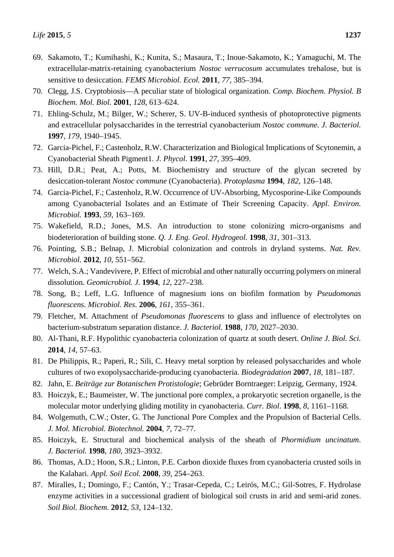- 69. Sakamoto, T.; Kumihashi, K.; Kunita, S.; Masaura, T.; Inoue-Sakamoto, K.; Yamaguchi, M. The extracellular-matrix-retaining cyanobacterium *Nostoc verrucosum* accumulates trehalose, but is sensitive to desiccation. *FEMS Microbiol. Ecol.* **2011**, *77*, 385–394.
- 70. Clegg, J.S. Cryptobiosis—A peculiar state of biological organization. *Comp. Biochem. Physiol. B Biochem. Mol. Biol.* **2001**, *128*, 613–624.
- 71. Ehling-Schulz, M.; Bilger, W.; Scherer, S. UV-B-induced synthesis of photoprotective pigments and extracellular polysaccharides in the terrestrial cyanobacterium *Nostoc commune. J. Bacteriol.*  **1997**, *179*, 1940–1945.
- 72. Garcia-Pichel, F.; Castenholz, R.W. Characterization and Biological Implications of Scytonemin, a Cyanobacterial Sheath Pigment1. *J. Phycol*. **1991**, *27*, 395–409.
- 73. Hill, D.R.; Peat, A.; Potts, M. Biochemistry and structure of the glycan secreted by desiccation-tolerant *Nostoc commune* (Cyanobacteria). *Protoplasma* **1994**, *182*, 126–148.
- 74. Garcia-Pichel, F.; Castenholz, R.W. Occurrence of UV-Absorbing, Mycosporine-Like Compounds among Cyanobacterial Isolates and an Estimate of Their Screening Capacity. *Appl. Environ. Microbiol.* **1993**, *59*, 163–169.
- 75. Wakefield, R.D.; Jones, M.S. An introduction to stone colonizing micro-organisms and biodeterioration of building stone. *Q. J. Eng. Geol. Hydrogeol.* **1998**, *31*, 301–313.
- 76. Pointing, S.B.; Belnap, J. Microbial colonization and controls in dryland systems. *Nat. Rev. Microbiol.* **2012**, *10*, 551–562.
- 77. Welch, S.A.; Vandevivere, P. Effect of microbial and other naturally occurring polymers on mineral dissolution*. Geomicrobiol. J.* **1994**, *12*, 227–238.
- 78. Song, B.; Leff, L.G. Influence of magnesium ions on biofilm formation by *Pseudomonas fluorescens. Microbiol. Res*. **2006**, *161*, 355–361.
- 79. Fletcher, M. Attachment of *Pseudomonas fluorescens* to glass and influence of electrolytes on bacterium-substratum separation distance. *J. Bacteriol*. **1988**, *170*, 2027–2030.
- 80. Al-Thani, R.F. Hypolithic cyanobacteria colonization of quartz at south desert. *Online J. Biol. Sci.*  **2014**, *14*, 57–63.
- 81. De Philippis, R.; Paperi, R.; Sili, C. Heavy metal sorption by released polysaccharides and whole cultures of two exopolysaccharide-producing cyanobacteria. *Biodegradation* **2007**, *18*, 181–187.
- 82. Jahn, E. *Beiträge zur Botanischen Protistologie*; Gebrüder Borntraeger: Leipzig, Germany, 1924.
- 83. Hoiczyk, E.; Baumeister, W. The junctional pore complex, a prokaryotic secretion organelle, is the molecular motor underlying gliding motility in cyanobacteria. *Curr. Biol*. **1998**, *8*, 1161–1168.
- 84. Wolgemuth, C.W.; Oster, G. The Junctional Pore Complex and the Propulsion of Bacterial Cells. *J. Mol. Microbiol. Biotechnol.* **2004**, *7*, 72–77.
- 85. Hoiczyk, E. Structural and biochemical analysis of the sheath of *Phormidium uncinatum*. *J. Bacteriol.* **1998**, *180*, 3923–3932.
- 86. Thomas, A.D.; Hoon, S.R.; Linton, P.E. Carbon dioxide fluxes from cyanobacteria crusted soils in the Kalahari. *Appl. Soil Ecol.* **2008**, *39*, 254–263.
- 87. Miralles, I.; Domingo, F.; Cantón, Y.; Trasar-Cepeda, C.; Leirós, M.C.; Gil-Sotres, F. Hydrolase enzyme activities in a successional gradient of biological soil crusts in arid and semi-arid zones. *Soil Biol. Biochem.* **2012**, *53*, 124–132.